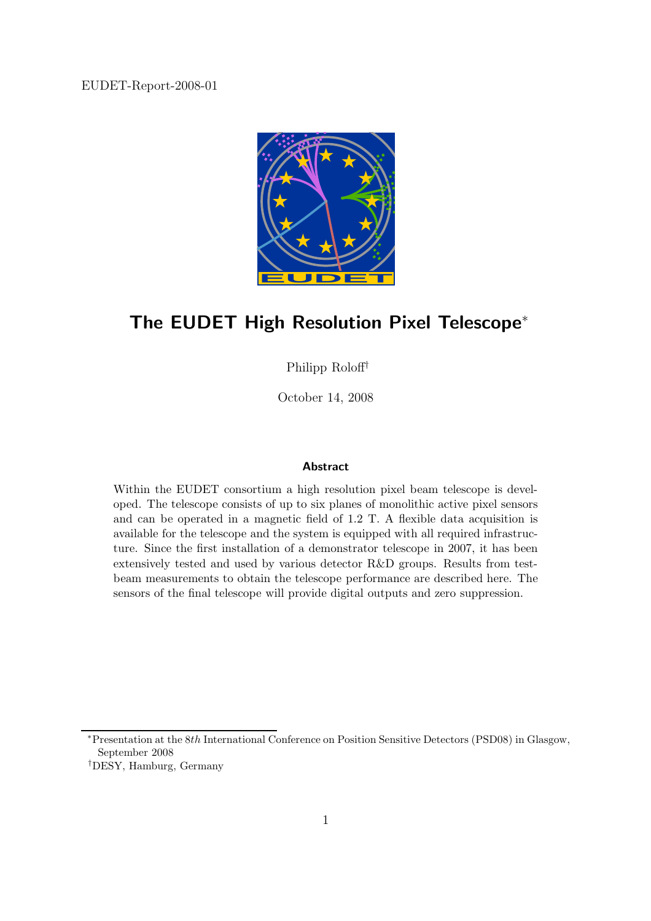EUDET-Report-2008-01



# The EUDET High Resolution Pixel Telescope<sup>∗</sup>

Philipp Roloff†

October 14, 2008

#### Abstract

Within the EUDET consortium a high resolution pixel beam telescope is developed. The telescope consists of up to six planes of monolithic active pixel sensors and can be operated in a magnetic field of 1.2 T. A flexible data acquisition is available for the telescope and the system is equipped with all required infrastructure. Since the first installation of a demonstrator telescope in 2007, it has been extensively tested and used by various detector R&D groups. Results from testbeam measurements to obtain the telescope performance are described here. The sensors of the final telescope will provide digital outputs and zero suppression.

<sup>∗</sup>Presentation at the 8th International Conference on Position Sensitive Detectors (PSD08) in Glasgow, September 2008

<sup>†</sup>DESY, Hamburg, Germany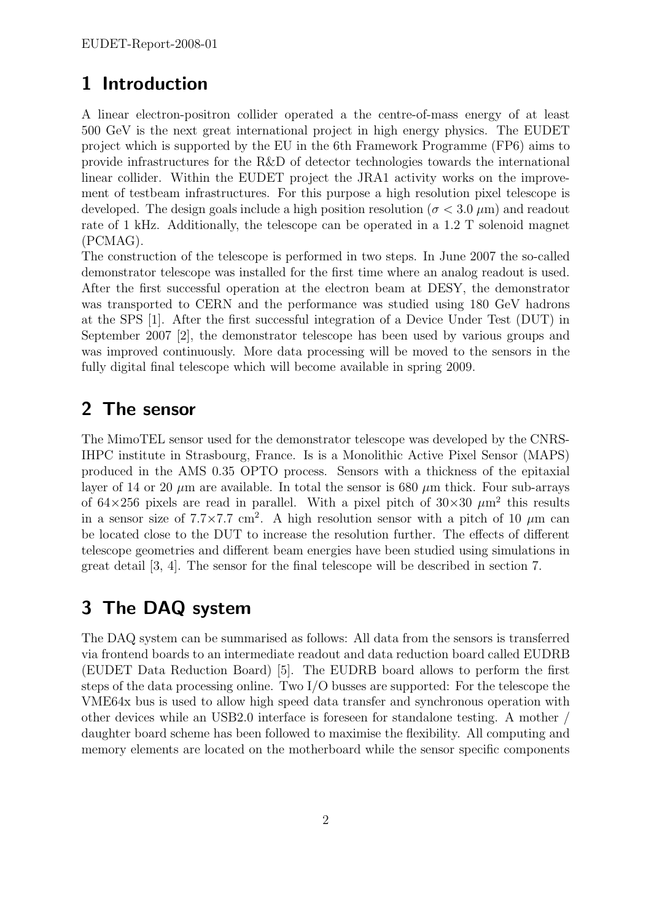# 1 Introduction

A linear electron-positron collider operated a the centre-of-mass energy of at least 500 GeV is the next great international project in high energy physics. The EUDET project which is supported by the EU in the 6th Framework Programme (FP6) aims to provide infrastructures for the R&D of detector technologies towards the international linear collider. Within the EUDET project the JRA1 activity works on the improvement of testbeam infrastructures. For this purpose a high resolution pixel telescope is developed. The design goals include a high position resolution ( $\sigma$  < 3.0  $\mu$ m) and readout rate of 1 kHz. Additionally, the telescope can be operated in a 1.2 T solenoid magnet (PCMAG).

The construction of the telescope is performed in two steps. In June 2007 the so-called demonstrator telescope was installed for the first time where an analog readout is used. After the first successful operation at the electron beam at DESY, the demonstrator was transported to CERN and the performance was studied using 180 GeV hadrons at the SPS [1]. After the first successful integration of a Device Under Test (DUT) in September 2007 [2], the demonstrator telescope has been used by various groups and was improved continuously. More data processing will be moved to the sensors in the fully digital final telescope which will become available in spring 2009.

# 2 The sensor

The MimoTEL sensor used for the demonstrator telescope was developed by the CNRS-IHPC institute in Strasbourg, France. Is is a Monolithic Active Pixel Sensor (MAPS) produced in the AMS 0.35 OPTO process. Sensors with a thickness of the epitaxial layer of 14 or 20  $\mu$ m are available. In total the sensor is 680  $\mu$ m thick. Four sub-arrays of  $64\times256$  pixels are read in parallel. With a pixel pitch of  $30\times30 \ \mu \text{m}^2$  this results in a sensor size of  $7.7 \times 7.7$  cm<sup>2</sup>. A high resolution sensor with a pitch of 10  $\mu$ m can be located close to the DUT to increase the resolution further. The effects of different telescope geometries and different beam energies have been studied using simulations in great detail [3, 4]. The sensor for the final telescope will be described in section 7.

# 3 The DAQ system

The DAQ system can be summarised as follows: All data from the sensors is transferred via frontend boards to an intermediate readout and data reduction board called EUDRB (EUDET Data Reduction Board) [5]. The EUDRB board allows to perform the first steps of the data processing online. Two I/O busses are supported: For the telescope the VME64x bus is used to allow high speed data transfer and synchronous operation with other devices while an USB2.0 interface is foreseen for standalone testing. A mother / daughter board scheme has been followed to maximise the flexibility. All computing and memory elements are located on the motherboard while the sensor specific components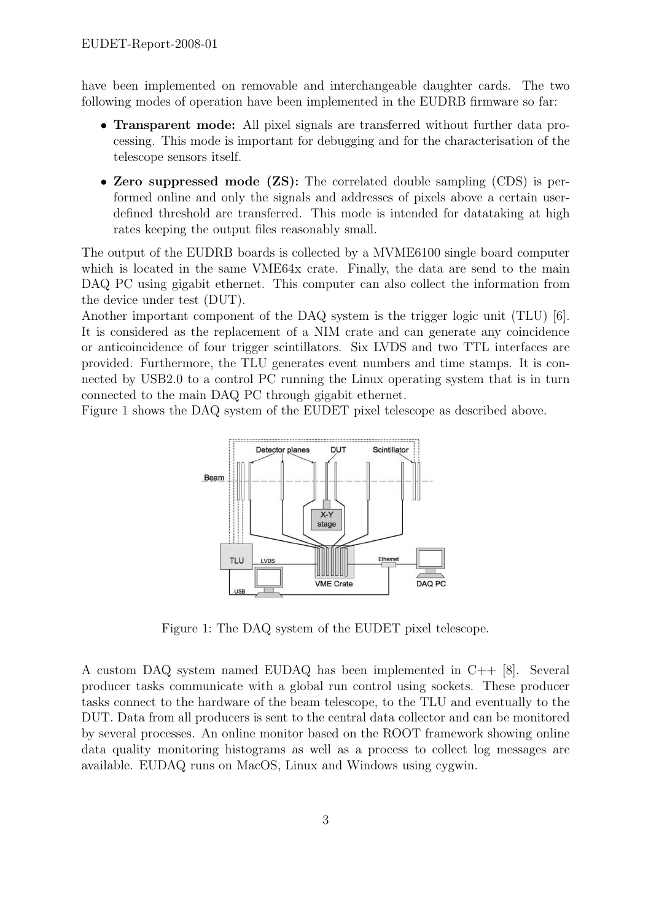have been implemented on removable and interchangeable daughter cards. The two following modes of operation have been implemented in the EUDRB firmware so far:

- Transparent mode: All pixel signals are transferred without further data processing. This mode is important for debugging and for the characterisation of the telescope sensors itself.
- Zero suppressed mode (ZS): The correlated double sampling (CDS) is performed online and only the signals and addresses of pixels above a certain userdefined threshold are transferred. This mode is intended for datataking at high rates keeping the output files reasonably small.

The output of the EUDRB boards is collected by a MVME6100 single board computer which is located in the same VME64x crate. Finally, the data are send to the main DAQ PC using gigabit ethernet. This computer can also collect the information from the device under test (DUT).

Another important component of the DAQ system is the trigger logic unit (TLU) [6]. It is considered as the replacement of a NIM crate and can generate any coincidence or anticoincidence of four trigger scintillators. Six LVDS and two TTL interfaces are provided. Furthermore, the TLU generates event numbers and time stamps. It is connected by USB2.0 to a control PC running the Linux operating system that is in turn connected to the main DAQ PC through gigabit ethernet.

Figure 1 shows the DAQ system of the EUDET pixel telescope as described above.



Figure 1: The DAQ system of the EUDET pixel telescope.

A custom DAQ system named EUDAQ has been implemented in C++ [8]. Several producer tasks communicate with a global run control using sockets. These producer tasks connect to the hardware of the beam telescope, to the TLU and eventually to the DUT. Data from all producers is sent to the central data collector and can be monitored by several processes. An online monitor based on the ROOT framework showing online data quality monitoring histograms as well as a process to collect log messages are available. EUDAQ runs on MacOS, Linux and Windows using cygwin.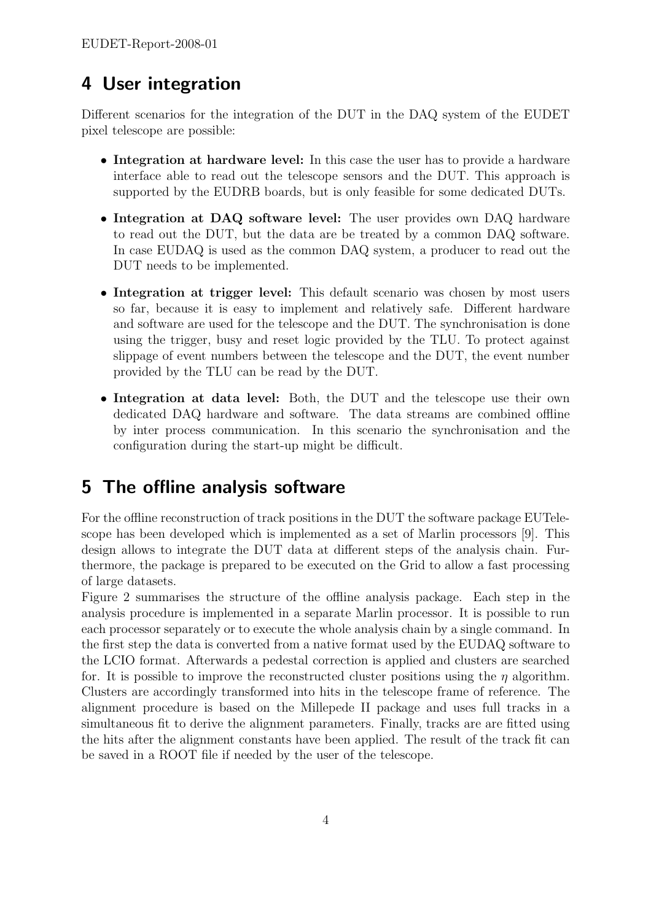# 4 User integration

Different scenarios for the integration of the DUT in the DAQ system of the EUDET pixel telescope are possible:

- Integration at hardware level: In this case the user has to provide a hardware interface able to read out the telescope sensors and the DUT. This approach is supported by the EUDRB boards, but is only feasible for some dedicated DUTs.
- Integration at DAQ software level: The user provides own DAQ hardware to read out the DUT, but the data are be treated by a common DAQ software. In case EUDAQ is used as the common DAQ system, a producer to read out the DUT needs to be implemented.
- Integration at trigger level: This default scenario was chosen by most users so far, because it is easy to implement and relatively safe. Different hardware and software are used for the telescope and the DUT. The synchronisation is done using the trigger, busy and reset logic provided by the TLU. To protect against slippage of event numbers between the telescope and the DUT, the event number provided by the TLU can be read by the DUT.
- Integration at data level: Both, the DUT and the telescope use their own dedicated DAQ hardware and software. The data streams are combined offline by inter process communication. In this scenario the synchronisation and the configuration during the start-up might be difficult.

# 5 The offline analysis software

For the offline reconstruction of track positions in the DUT the software package EUTelescope has been developed which is implemented as a set of Marlin processors [9]. This design allows to integrate the DUT data at different steps of the analysis chain. Furthermore, the package is prepared to be executed on the Grid to allow a fast processing of large datasets.

Figure 2 summarises the structure of the offline analysis package. Each step in the analysis procedure is implemented in a separate Marlin processor. It is possible to run each processor separately or to execute the whole analysis chain by a single command. In the first step the data is converted from a native format used by the EUDAQ software to the LCIO format. Afterwards a pedestal correction is applied and clusters are searched for. It is possible to improve the reconstructed cluster positions using the  $\eta$  algorithm. Clusters are accordingly transformed into hits in the telescope frame of reference. The alignment procedure is based on the Millepede II package and uses full tracks in a simultaneous fit to derive the alignment parameters. Finally, tracks are are fitted using the hits after the alignment constants have been applied. The result of the track fit can be saved in a ROOT file if needed by the user of the telescope.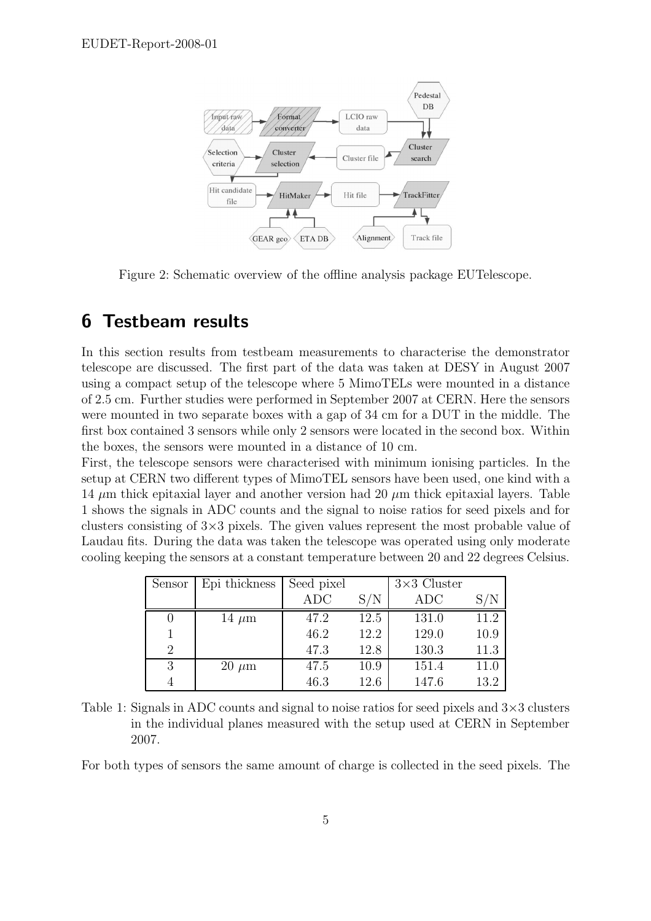

Figure 2: Schematic overview of the offline analysis package EUTelescope.

# 6 Testbeam results

In this section results from testbeam measurements to characterise the demonstrator telescope are discussed. The first part of the data was taken at DESY in August 2007 using a compact setup of the telescope where 5 MimoTELs were mounted in a distance of 2.5 cm. Further studies were performed in September 2007 at CERN. Here the sensors were mounted in two separate boxes with a gap of 34 cm for a DUT in the middle. The first box contained 3 sensors while only 2 sensors were located in the second box. Within the boxes, the sensors were mounted in a distance of 10 cm.

First, the telescope sensors were characterised with minimum ionising particles. In the setup at CERN two different types of MimoTEL sensors have been used, one kind with a 14  $\mu$ m thick epitaxial layer and another version had 20  $\mu$ m thick epitaxial layers. Table 1 shows the signals in ADC counts and the signal to noise ratios for seed pixels and for clusters consisting of  $3\times3$  pixels. The given values represent the most probable value of Laudau fits. During the data was taken the telescope was operated using only moderate cooling keeping the sensors at a constant temperature between 20 and 22 degrees Celsius.

| Sensor | Epi thickness | Seed pixel |      | $3\times3$ Cluster |      |
|--------|---------------|------------|------|--------------------|------|
|        |               | <b>ADC</b> | S/N  | ADC                |      |
|        | $14 \mu m$    | 47.2       | 12.5 | 131.0              | 11.2 |
|        |               | 46.2       | 12.2 | 129.0              | 10.9 |
| 2      |               | 47.3       | 12.8 | 130.3              | 11.3 |
| 3      | $20 \ \mu m$  | 47.5       | 10.9 | 151.4              | 11.0 |
|        |               | 46.3       | 12.6 | 147.6              | 13.2 |

Table 1: Signals in ADC counts and signal to noise ratios for seed pixels and  $3\times3$  clusters in the individual planes measured with the setup used at CERN in September 2007.

For both types of sensors the same amount of charge is collected in the seed pixels. The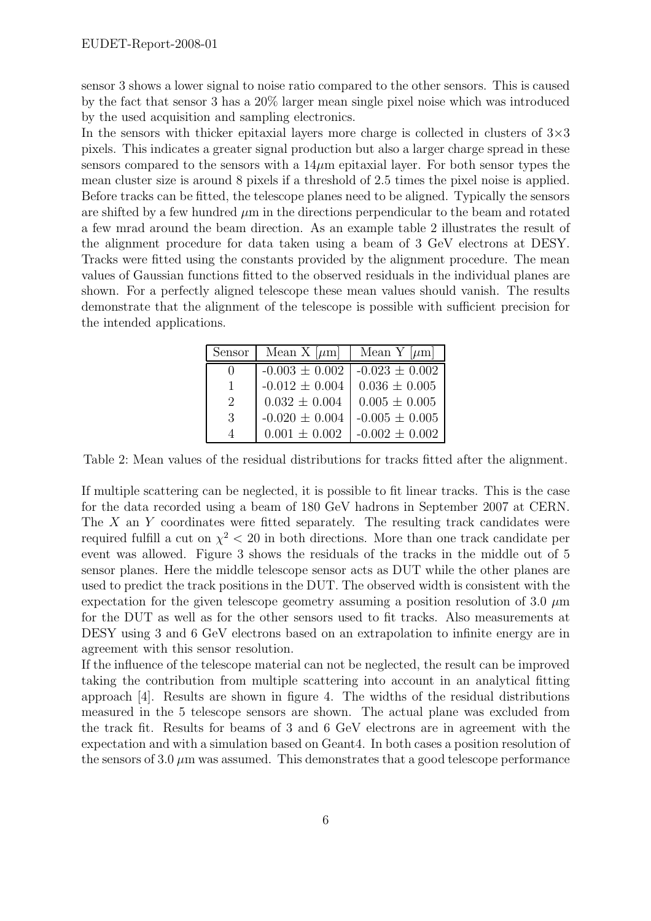sensor 3 shows a lower signal to noise ratio compared to the other sensors. This is caused by the fact that sensor 3 has a 20% larger mean single pixel noise which was introduced by the used acquisition and sampling electronics.

In the sensors with thicker epitaxial layers more charge is collected in clusters of  $3\times3$ pixels. This indicates a greater signal production but also a larger charge spread in these sensors compared to the sensors with a  $14\mu$ m epitaxial layer. For both sensor types the mean cluster size is around 8 pixels if a threshold of 2.5 times the pixel noise is applied. Before tracks can be fitted, the telescope planes need to be aligned. Typically the sensors are shifted by a few hundred  $\mu$ m in the directions perpendicular to the beam and rotated a few mrad around the beam direction. As an example table 2 illustrates the result of the alignment procedure for data taken using a beam of 3 GeV electrons at DESY. Tracks were fitted using the constants provided by the alignment procedure. The mean values of Gaussian functions fitted to the observed residuals in the individual planes are shown. For a perfectly aligned telescope these mean values should vanish. The results demonstrate that the alignment of the telescope is possible with sufficient precision for the intended applications.

| Sensor                      | Mean X $[\mu m]$   | Mean Y $[\mu m]$   |
|-----------------------------|--------------------|--------------------|
|                             | $-0.003 \pm 0.002$ | $-0.023 \pm 0.002$ |
|                             | $-0.012 \pm 0.004$ | $0.036 \pm 0.005$  |
| $\mathcal{D}_{\mathcal{L}}$ | $0.032 \pm 0.004$  | $0.005 \pm 0.005$  |
| 3                           | $-0.020 \pm 0.004$ | $-0.005 \pm 0.005$ |
|                             | $0.001 \pm 0.002$  | $-0.002 \pm 0.002$ |

Table 2: Mean values of the residual distributions for tracks fitted after the alignment.

If multiple scattering can be neglected, it is possible to fit linear tracks. This is the case for the data recorded using a beam of 180 GeV hadrons in September 2007 at CERN. The X an Y coordinates were fitted separately. The resulting track candidates were required fulfill a cut on  $\chi^2 < 20$  in both directions. More than one track candidate per event was allowed. Figure 3 shows the residuals of the tracks in the middle out of 5 sensor planes. Here the middle telescope sensor acts as DUT while the other planes are used to predict the track positions in the DUT. The observed width is consistent with the expectation for the given telescope geometry assuming a position resolution of 3.0  $\mu$ m for the DUT as well as for the other sensors used to fit tracks. Also measurements at DESY using 3 and 6 GeV electrons based on an extrapolation to infinite energy are in agreement with this sensor resolution.

If the influence of the telescope material can not be neglected, the result can be improved taking the contribution from multiple scattering into account in an analytical fitting approach [4]. Results are shown in figure 4. The widths of the residual distributions measured in the 5 telescope sensors are shown. The actual plane was excluded from the track fit. Results for beams of 3 and 6 GeV electrons are in agreement with the expectation and with a simulation based on Geant4. In both cases a position resolution of the sensors of  $3.0 \mu m$  was assumed. This demonstrates that a good telescope performance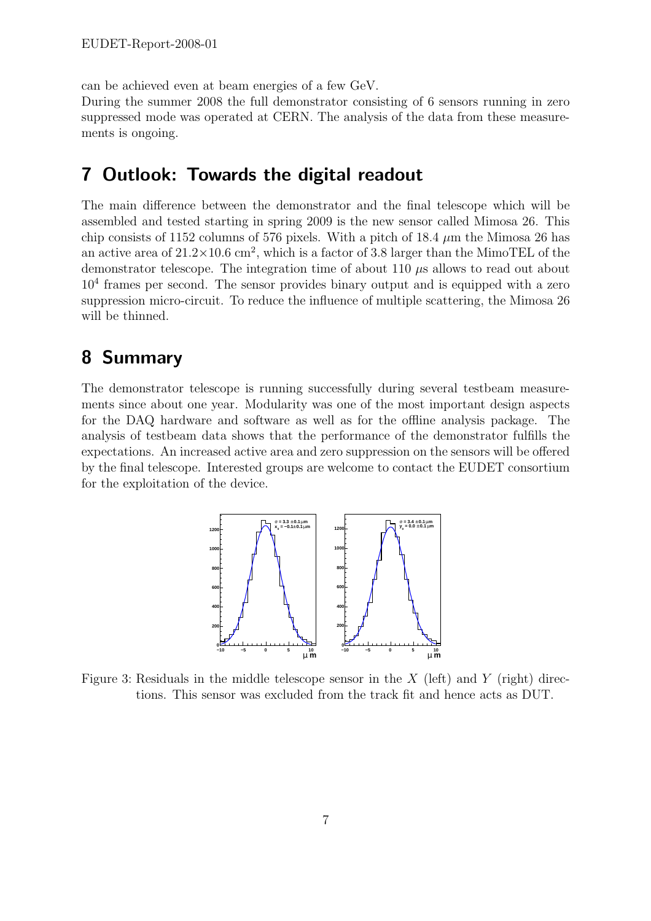can be achieved even at beam energies of a few GeV.

During the summer 2008 the full demonstrator consisting of 6 sensors running in zero suppressed mode was operated at CERN. The analysis of the data from these measurements is ongoing.

#### 7 Outlook: Towards the digital readout

The main difference between the demonstrator and the final telescope which will be assembled and tested starting in spring 2009 is the new sensor called Mimosa 26. This chip consists of 1152 columns of 576 pixels. With a pitch of 18.4  $\mu$ m the Mimosa 26 has an active area of  $21.2 \times 10.6$  cm<sup>2</sup>, which is a factor of 3.8 larger than the MimoTEL of the demonstrator telescope. The integration time of about 110  $\mu$ s allows to read out about 10<sup>4</sup> frames per second. The sensor provides binary output and is equipped with a zero suppression micro-circuit. To reduce the influence of multiple scattering, the Mimosa 26 will be thinned.

#### 8 Summary

The demonstrator telescope is running successfully during several testbeam measurements since about one year. Modularity was one of the most important design aspects for the DAQ hardware and software as well as for the offline analysis package. The analysis of testbeam data shows that the performance of the demonstrator fulfills the expectations. An increased active area and zero suppression on the sensors will be offered by the final telescope. Interested groups are welcome to contact the EUDET consortium for the exploitation of the device.



Figure 3: Residuals in the middle telescope sensor in the  $X$  (left) and  $Y$  (right) directions. This sensor was excluded from the track fit and hence acts as DUT.